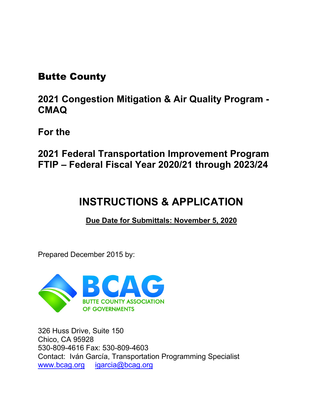# Butte County

**2021 Congestion Mitigation & Air Quality Program - CMAQ**

**For the**

**2021 Federal Transportation Improvement Program FTIP – Federal Fiscal Year 2020/21 through 2023/24**

# **INSTRUCTIONS & APPLICATION**

**Due Date for Submittals: November 5, 2020**

Prepared December 2015 by:



326 Huss Drive, Suite 150 Chico, CA 95928 530-809-4616 Fax: 530-809-4603 Contact: Iván García, Transportation Programming Specialist [www.bcag.org](http://www.bcag.org/) [igarcia@bcag.org](mailto:igarcia@bcag.org)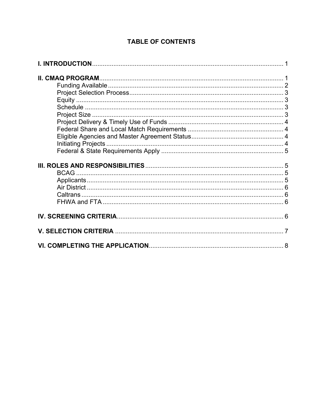#### **TABLE OF CONTENTS**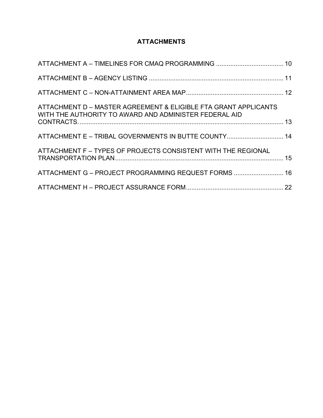#### **ATTACHMENTS**

| ATTACHMENT D – MASTER AGREEMENT & ELIGIBLE FTA GRANT APPLICANTS<br>WITH THE AUTHORITY TO AWARD AND ADMINISTER FEDERAL AID |  |
|---------------------------------------------------------------------------------------------------------------------------|--|
| ATTACHMENT E - TRIBAL GOVERNMENTS IN BUTTE COUNTY 14                                                                      |  |
| ATTACHMENT F – TYPES OF PROJECTS CONSISTENT WITH THE REGIONAL                                                             |  |
| ATTACHMENT G - PROJECT PROGRAMMING REQUEST FORMS  16                                                                      |  |
|                                                                                                                           |  |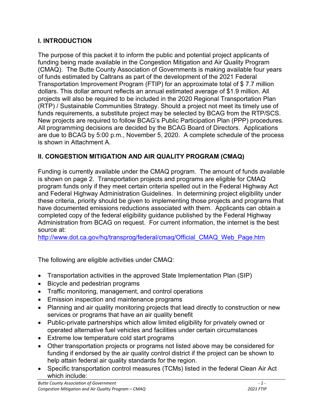#### **I. INTRODUCTION**

The purpose of this packet it to inform the public and potential project applicants of funding being made available in the Congestion Mitigation and Air Quality Program (CMAQ). The Butte County Association of Governments is making available four years of funds estimated by Caltrans as part of the development of the 2021 Federal Transportation Improvement Program (FTIP) for an approximate total of \$ 7.7 million dollars. This dollar amount reflects an annual estimated average of \$1.9 million. All projects will also be required to be included in the 2020 Regional Transportation Plan (RTP) / Sustainable Communities Strategy. Should a project not meet its timely use of funds requirements, a substitute project may be selected by BCAG from the RTP/SCS. New projects are required to follow BCAG's Public Participation Plan (PPP) procedures. All programming decisions are decided by the BCAG Board of Directors. Applications are due to BCAG by 5:00 p.m., November 5, 2020. A complete schedule of the process is shown in Attachment A.

# **II. CONGESTION MITIGATION AND AIR QUALITY PROGRAM (CMAQ)**

Funding is currently available under the CMAQ program. The amount of funds available is shown on page 2. Transportation projects and programs are eligible for CMAQ program funds only if they meet certain criteria spelled out in the Federal Highway Act and Federal Highway Administration Guidelines. In determining project eligibility under these criteria, priority should be given to implementing those projects and programs that have documented emissions reductions associated with them. Applicants can obtain a completed copy of the federal eligibility guidance published by the Federal Highway Administration from BCAG on request. For current information, the internet is the best source at:

[http://www.dot.ca.gov/hq/transprog/federal/cmaq/Official\\_CMAQ\\_Web\\_Page.htm](http://www.dot.ca.gov/hq/transprog/federal/cmaq/Official_CMAQ_Web_Page.htm)

The following are eligible activities under CMAQ:

- Transportation activities in the approved State Implementation Plan (SIP)
- Bicycle and pedestrian programs
- Traffic monitoring, management, and control operations
- Emission inspection and maintenance programs
- Planning and air quality monitoring projects that lead directly to construction or new services or programs that have an air quality benefit
- Public-private partnerships which allow limited eligibility for privately owned or operated alternative fuel vehicles and facilities under certain circumstances
- Extreme low temperature cold start programs
- Other transportation projects or programs not listed above may be considered for funding if endorsed by the air quality control district if the project can be shown to help attain federal air quality standards for the region.
- Specific transportation control measures (TCMs) listed in the federal Clean Air Act which include: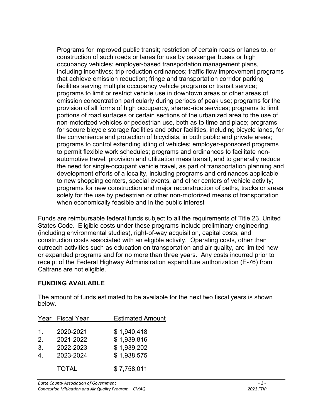Programs for improved public transit; restriction of certain roads or lanes to, or construction of such roads or lanes for use by passenger buses or high occupancy vehicles; employer-based transportation management plans, including incentives; trip-reduction ordinances; traffic flow improvement programs that achieve emission reduction; fringe and transportation corridor parking facilities serving multiple occupancy vehicle programs or transit service; programs to limit or restrict vehicle use in downtown areas or other areas of emission concentration particularly during periods of peak use; programs for the provision of all forms of high occupancy, shared-ride services; programs to limit portions of road surfaces or certain sections of the urbanized area to the use of non-motorized vehicles or pedestrian use, both as to time and place; programs for secure bicycle storage facilities and other facilities, including bicycle lanes, for the convenience and protection of bicyclists, in both public and private areas; programs to control extending idling of vehicles; employer-sponsored programs to permit flexible work schedules; programs and ordinances to facilitate nonautomotive travel, provision and utilization mass transit, and to generally reduce the need for single-occupant vehicle travel, as part of transportation planning and development efforts of a locality, including programs and ordinances applicable to new shopping centers, special events, and other centers of vehicle activity; programs for new construction and major reconstruction of paths, tracks or areas solely for the use by pedestrian or other non-motorized means of transportation when economically feasible and in the public interest

Funds are reimbursable federal funds subject to all the requirements of Title 23, United States Code. Eligible costs under these programs include preliminary engineering (including environmental studies), right-of-way acquisition, capital costs, and construction costs associated with an eligible activity. Operating costs, other than outreach activities such as education on transportation and air quality, are limited new or expanded programs and for no more than three years. Any costs incurred prior to receipt of the Federal Highway Administration expenditure authorization (E-76) from Caltrans are not eligible.

#### **FUNDING AVAILABLE**

The amount of funds estimated to be available for the next two fiscal years is shown below.

| Year           | <b>Fiscal Year</b> | <b>Estimated Amount</b> |
|----------------|--------------------|-------------------------|
|                |                    |                         |
| 1.             | 2020-2021          | \$1,940,418             |
| 2 <sub>1</sub> | 2021-2022          | \$1,939,816             |
| 3.             | 2022-2023          | \$1,939,202             |
| 4              | 2023-2024          | \$1,938,575             |
|                | <b>TOTAL</b>       | \$7,758,011             |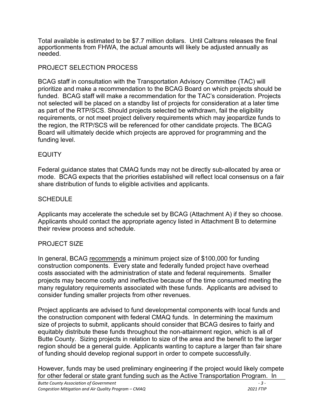Total available is estimated to be \$7.7 million dollars. Until Caltrans releases the final apportionments from FHWA, the actual amounts will likely be adjusted annually as needed.

#### PROJECT SELECTION PROCESS

BCAG staff in consultation with the Transportation Advisory Committee (TAC) will prioritize and make a recommendation to the BCAG Board on which projects should be funded. BCAG staff will make a recommendation for the TAC's consideration. Projects not selected will be placed on a standby list of projects for consideration at a later time as part of the RTP/SCS. Should projects selected be withdrawn, fail the eligibility requirements, or not meet project delivery requirements which may jeopardize funds to the region, the RTP/SCS will be referenced for other candidate projects. The BCAG Board will ultimately decide which projects are approved for programming and the funding level.

#### EQUITY

Federal guidance states that CMAQ funds may not be directly sub-allocated by area or mode. BCAG expects that the priorities established will reflect local consensus on a fair share distribution of funds to eligible activities and applicants.

#### **SCHEDULE**

Applicants may accelerate the schedule set by BCAG (Attachment A) if they so choose. Applicants should contact the appropriate agency listed in Attachment B to determine their review process and schedule.

#### PROJECT SIZE

In general, BCAG recommends a minimum project size of \$100,000 for funding construction components. Every state and federally funded project have overhead costs associated with the administration of state and federal requirements. Smaller projects may become costly and ineffective because of the time consumed meeting the many regulatory requirements associated with these funds. Applicants are advised to consider funding smaller projects from other revenues.

Project applicants are advised to fund developmental components with local funds and the construction component with federal CMAQ funds. In determining the maximum size of projects to submit, applicants should consider that BCAG desires to fairly and equitably distribute these funds throughout the non-attainment region, which is all of Butte County. Sizing projects in relation to size of the area and the benefit to the larger region should be a general guide. Applicants wanting to capture a larger than fair share of funding should develop regional support in order to compete successfully.

However, funds may be used preliminary engineering if the project would likely compete for other federal or state grant funding such as the Active Transportation Program. In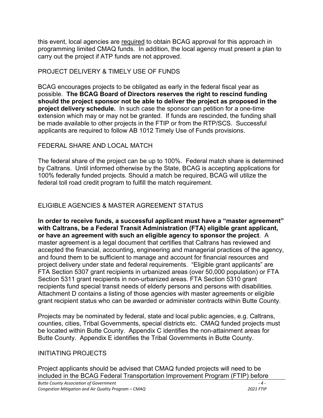this event, local agencies are required to obtain BCAG approval for this approach in programming limited CMAQ funds. In addition, the local agency must present a plan to carry out the project if ATP funds are not approved.

#### PROJECT DELIVERY & TIMELY USE OF FUNDS

BCAG encourages projects to be obligated as early in the federal fiscal year as possible. **The BCAG Board of Directors reserves the right to rescind funding should the project sponsor not be able to deliver the project as proposed in the project delivery schedule.** In such case the sponsor can petition for a one-time extension which may or may not be granted. If funds are rescinded, the funding shall be made available to other projects in the FTIP or from the RTP/SCS. Successful applicants are required to follow AB 1012 Timely Use of Funds provisions.

#### FEDERAL SHARE AND LOCAL MATCH

The federal share of the project can be up to 100%. Federal match share is determined by Caltrans. Until informed otherwise by the State, BCAG is accepting applications for 100% federally funded projects. Should a match be required, BCAG will utilize the federal toll road credit program to fulfill the match requirement.

### ELIGIBLE AGENCIES & MASTER AGREEMENT STATUS

**In order to receive funds, a successful applicant must have a "master agreement" with Caltrans, be a Federal Transit Administration (FTA) eligible grant applicant, or have an agreement with such an eligible agency to sponsor the project**. A master agreement is a legal document that certifies that Caltrans has reviewed and accepted the financial, accounting, engineering and managerial practices of the agency, and found them to be sufficient to manage and account for financial resources and project delivery under state and federal requirements. "Eligible grant applicants" are FTA Section 5307 grant recipients in urbanized areas (over 50,000 population) or FTA Section 5311 grant recipients in non-urbanized areas. FTA Section 5310 grant recipients fund special transit needs of elderly persons and persons with disabilities. Attachment D contains a listing of those agencies with master agreements or eligible grant recipient status who can be awarded or administer contracts within Butte County.

Projects may be nominated by federal, state and local public agencies, e.g. Caltrans, counties, cities, Tribal Governments, special districts etc. CMAQ funded projects must be located within Butte County. Appendix C identifies the non-attainment areas for Butte County. Appendix E identifies the Tribal Governments in Butte County.

#### INITIATING PROJECTS

Project applicants should be advised that CMAQ funded projects will need to be included in the BCAG Federal Transportation Improvement Program (FTIP) before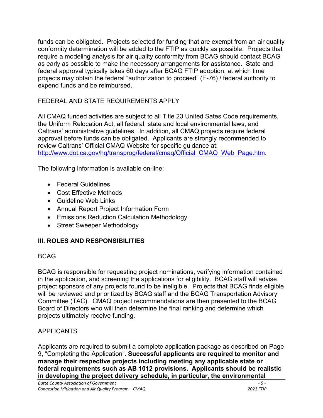funds can be obligated. Projects selected for funding that are exempt from an air quality conformity determination will be added to the FTIP as quickly as possible. Projects that require a modeling analysis for air quality conformity from BCAG should contact BCAG as early as possible to make the necessary arrangements for assistance. State and federal approval typically takes 60 days after BCAG FTIP adoption, at which time projects may obtain the federal "authorization to proceed" (E-76) / federal authority to expend funds and be reimbursed.

# FEDERAL AND STATE REQUIREMENTS APPLY

All CMAQ funded activities are subject to all Title 23 United Sates Code requirements, the Uniform Relocation Act, all federal, state and local environmental laws, and Caltrans' administrative guidelines. In addition, all CMAQ projects require federal approval before funds can be obligated. Applicants are strongly recommended to review Caltrans' Official CMAQ Website for specific guidance at: [http://www.dot.ca.gov/hq/transprog/federal/cmaq/Official\\_CMAQ\\_Web\\_Page.htm.](http://www.dot.ca.gov/hq/transprog/federal/cmaq/Official_CMAQ_Web_Page.htm)

The following information is available on-line:

- Federal Guidelines
- Cost Effective Methods
- Guideline Web Links
- Annual Report Project Information Form
- Emissions Reduction Calculation Methodology
- Street Sweeper Methodology

# **III. ROLES AND RESPONSIBILITIES**

#### BCAG

BCAG is responsible for requesting project nominations, verifying information contained in the application, and screening the applications for eligibility. BCAG staff will advise project sponsors of any projects found to be ineligible. Projects that BCAG finds eligible will be reviewed and prioritized by BCAG staff and the BCAG Transportation Advisory Committee (TAC). CMAQ project recommendations are then presented to the BCAG Board of Directors who will then determine the final ranking and determine which projects ultimately receive funding.

# **APPLICANTS**

Applicants are required to submit a complete application package as described on Page 9, "Completing the Application". **Successful applicants are required to monitor and manage their respective projects including meeting any applicable state or federal requirements such as AB 1012 provisions. Applicants should be realistic in developing the project delivery schedule, in particular, the environmental**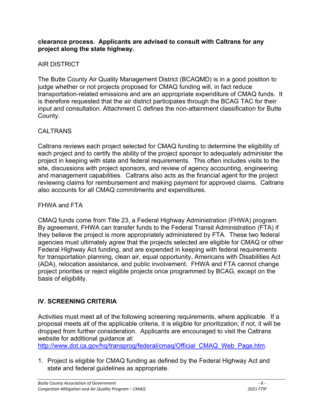#### **clearance process. Applicants are advised to consult with Caltrans for any project along the state highway.**

### AIR DISTRICT

The Butte County Air Quality Management District (BCAQMD) is in a good position to judge whether or not projects proposed for CMAQ funding will, in fact reduce transportation-related emissions and are an appropriate expenditure of CMAQ funds. It is therefore requested that the air district participates through the BCAG TAC for their input and consultation. Attachment C defines the non-attainment classification for Butte County.

#### CALTRANS

Caltrans reviews each project selected for CMAQ funding to determine the eligibility of each project and to certify the ability of the project sponsor to adequately administer the project in keeping with state and federal requirements. This often includes visits to the site, discussions with project sponsors, and review of agency accounting, engineering and management capabilities. Caltrans also acts as the financial agent for the project reviewing claims for reimbursement and making payment for approved claims. Caltrans also accounts for all CMAQ commitments and expenditures.

#### FHWA and FTA

CMAQ funds come from Title 23, a Federal Highway Administration (FHWA) program. By agreement, FHWA can transfer funds to the Federal Transit Administration (FTA) if they believe the project is more appropriately administered by FTA. These two federal agencies must ultimately agree that the projects selected are eligible for CMAQ or other Federal Highway Act funding, and are expended in keeping with federal requirements for transportation planning, clean air, equal opportunity, Americans with Disabilities Act (ADA), relocation assistance, and public involvement. FHWA and FTA cannot change project priorities or reject eligible projects once programmed by BCAG, except on the basis of eligibility.

# **IV. SCREENING CRITERIA**

Activities must meet all of the following screening requirements, where applicable. If a proposal meets all of the applicable criteria, it is eligible for prioritization; if not, it will be dropped from further consideration. Applicants are encouraged to visit the Caltrans website for additional guidance at:

[http://www.dot.ca.gov/hq/transprog/federal/cmaq/Official\\_CMAQ\\_Web\\_Page.htm.](http://www.dot.ca.gov/hq/transprog/federal/cmaq/Official_CMAQ_Web_Page.htm)

1. Project is eligible for CMAQ funding as defined by the Federal Highway Act and state and federal guidelines as appropriate.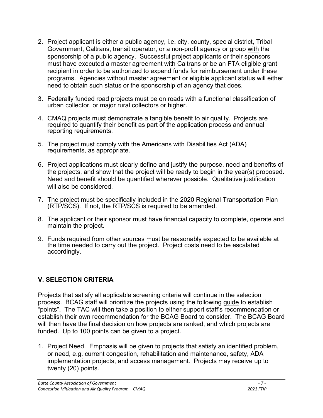- 2. Project applicant is either a public agency, i.e. city, county, special district, Tribal Government, Caltrans, transit operator, or a non-profit agency or group with the sponsorship of a public agency. Successful project applicants or their sponsors must have executed a master agreement with Caltrans or be an FTA eligible grant recipient in order to be authorized to expend funds for reimbursement under these programs. Agencies without master agreement or eligible applicant status will either need to obtain such status or the sponsorship of an agency that does.
- 3. Federally funded road projects must be on roads with a functional classification of urban collector, or major rural collectors or higher.
- 4. CMAQ projects must demonstrate a tangible benefit to air quality. Projects are required to quantify their benefit as part of the application process and annual reporting requirements.
- 5. The project must comply with the Americans with Disabilities Act (ADA) requirements, as appropriate.
- 6. Project applications must clearly define and justify the purpose, need and benefits of the projects, and show that the project will be ready to begin in the year(s) proposed. Need and benefit should be quantified wherever possible. Qualitative justification will also be considered.
- 7. The project must be specifically included in the 2020 Regional Transportation Plan (RTP/SCS). If not, the RTP/SCS is required to be amended.
- 8. The applicant or their sponsor must have financial capacity to complete, operate and maintain the project.
- 9. Funds required from other sources must be reasonably expected to be available at the time needed to carry out the project. Project costs need to be escalated accordingly.

# **V. SELECTION CRITERIA**

Projects that satisfy all applicable screening criteria will continue in the selection process. BCAG staff will prioritize the projects using the following guide to establish "points". The TAC will then take a position to either support staff's recommendation or establish their own recommendation for the BCAG Board to consider. The BCAG Board will then have the final decision on how projects are ranked, and which projects are funded. Up to 100 points can be given to a project.

1. Project Need. Emphasis will be given to projects that satisfy an identified problem, or need, e.g. current congestion, rehabilitation and maintenance, safety, ADA implementation projects, and access management. Projects may receive up to twenty (20) points.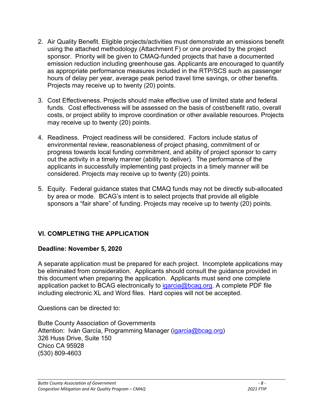- 2. Air Quality Benefit. Eligible projects/activities must demonstrate an emissions benefit using the attached methodology (Attachment F) or one provided by the project sponsor. Priority will be given to CMAQ-funded projects that have a documented emission reduction including greenhouse gas. Applicants are encouraged to quantify as appropriate performance measures included in the RTP/SCS such as passenger hours of delay per year, average peak period travel time savings, or other benefits. Projects may receive up to twenty (20) points.
- 3. Cost Effectiveness. Projects should make effective use of limited state and federal funds. Cost effectiveness will be assessed on the basis of cost/benefit ratio, overall costs, or project ability to improve coordination or other available resources. Projects may receive up to twenty (20) points.
- 4. Readiness. Project readiness will be considered. Factors include status of environmental review, reasonableness of project phasing, commitment of or progress towards local funding commitment, and ability of project sponsor to carry out the activity in a timely manner (ability to deliver). The performance of the applicants in successfully implementing past projects in a timely manner will be considered. Projects may receive up to twenty (20) points.
- 5. Equity. Federal guidance states that CMAQ funds may not be directly sub-allocated by area or mode. BCAG's intent is to select projects that provide all eligible sponsors a "fair share" of funding. Projects may receive up to twenty (20) points.

# **VI. COMPLETING THE APPLICATION**

#### **Deadline: November 5, 2020**

A separate application must be prepared for each project. Incomplete applications may be eliminated from consideration. Applicants should consult the guidance provided in this document when preparing the application. Applicants must send one complete application packet to BCAG electronically to  $igarcia@bcag.org$ . A complete PDF file including electronic XL and Word files. Hard copies will not be accepted.

Questions can be directed to:

Butte County Association of Governments Attention: Iván García, Programming Manager [\(igarcia@bcag.org\)](mailto:igarcia@bcag.org) 326 Huss Drive, Suite 150 Chico CA 95928 (530) 809-4603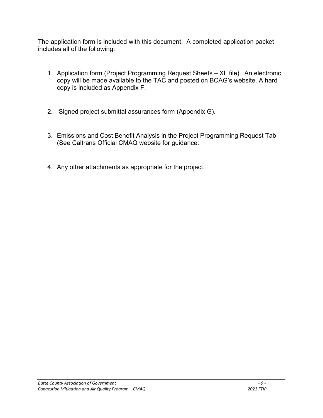The application form is included with this document. A completed application packet includes all of the following:

- 1. Application form (Project Programming Request Sheets XL file). An electronic copy will be made available to the TAC and posted on BCAG's website. A hard copy is included as Appendix F.
- 2. Signed project submittal assurances form (Appendix G).
- 3. Emissions and Cost Benefit Analysis in the Project Programming Request Tab (See Caltrans Official CMAQ website for guidance:
- 4. Any other attachments as appropriate for the project.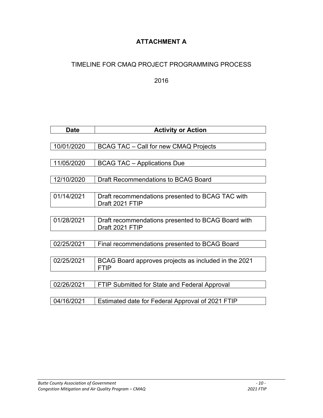# **ATTACHMENT A**

# TIMELINE FOR CMAQ PROJECT PROGRAMMING PROCESS

2016

| <b>Date</b> | <b>Activity or Action</b>                            |
|-------------|------------------------------------------------------|
|             |                                                      |
| 10/01/2020  | <b>BCAG TAC - Call for new CMAQ Projects</b>         |
|             |                                                      |
| 11/05/2020  | <b>BCAG TAC - Applications Due</b>                   |
|             |                                                      |
| 12/10/2020  | <b>Draft Recommendations to BCAG Board</b>           |
|             |                                                      |
| 01/14/2021  | Draft recommendations presented to BCAG TAC with     |
|             | Draft 2021 FTIP                                      |
|             |                                                      |
| 01/28/2021  | Draft recommendations presented to BCAG Board with   |
|             | Draft 2021 FTIP                                      |
|             |                                                      |
| 02/25/2021  | Final recommendations presented to BCAG Board        |
|             |                                                      |
| 02/25/2021  | BCAG Board approves projects as included in the 2021 |
|             | <b>FTIP</b>                                          |
|             |                                                      |
| 02/26/2021  | FTIP Submitted for State and Federal Approval        |
|             |                                                      |
| 04/16/2021  | Estimated date for Federal Approval of 2021 FTIP     |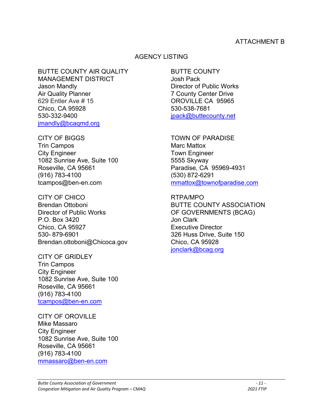#### ATTACHMENT B

#### AGENCY LISTING

BUTTE COUNTY AIR QUALITY BUTTE COUNTY MANAGEMENT DISTRICT **State State State State State State** Josh Pack Jason Mandly Director of Public Works Air Quality Planner **7 County Center Drive** 629 Entler Ave # 15 OROVILLE CA 95965 Chico, CA 95928 530-538-7681 530-332-9400 [jpack@buttecounty.net](mailto:jpack@buttecounty.net) [jmandly@bcaqmd.org](mailto:jmandly@bcaqmd.org)

CITY OF BIGGS TOWN OF PARADISE Trin Campos **Marc Mattox** Marc Mattox City Engineer **Town Engineer** 1082 Sunrise Ave, Suite 100 5555 Skyway Roseville, CA 95661 Paradise, CA 95969-4931 (916) 783-4100 (530) 872-6291

CITY OF CHICO **RTPA/MPO** Director of Public Works **OF GOVERNMENTS (BCAG)** P.O. Box 3420 Jon Clark Chico, CA 95927 Executive Director 530- 879-6901 326 Huss Drive, Suite 150 Brendan.ottoboni@Chicoca.gov Chico, CA 95928

CITY OF GRIDLEY Trin Campos City Engineer 1082 Sunrise Ave, Suite 100 Roseville, CA 95661 (916) 783-4100 [tcampos@ben-en.com](mailto:tcampos@ben-en.com)

CITY OF OROVILLE Mike Massaro City Engineer 1082 Sunrise Ave, Suite 100 Roseville, CA 95661 (916) 783-4100 [mmassaro@ben-en.com](mailto:mmassaro@ben-en.com)

tcampos@ben-en.com methox@townofparadise.com

Brendan Ottoboni BUTTE COUNTY ASSOCIATION [jonclark@bcag.org](mailto:jonclark@bcag.org)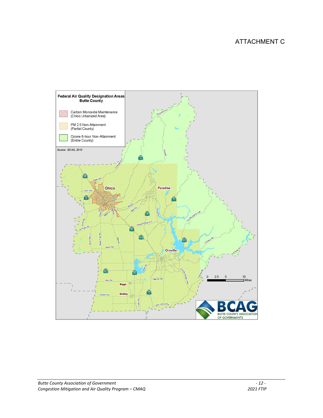# ATTACHMENT C

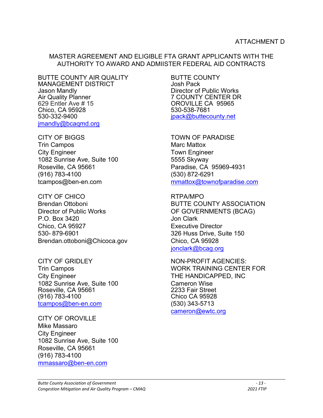#### MASTER AGREEMENT AND ELIGIBLE FTA GRANT APPLICANTS WITH THE AUTHORITY TO AWARD AND ADMIISTER FEDERAL AID CONTRACTS

BUTTE COUNTY AIR QUALITY BUTTE COUNTY MANAGEMENT DISTRICT<br>Jason Mandly Jason Mandly Director of Public Works Air Quality Planner<br>
629 Entler Ave # 15 **The Strutter COUNTY CENTER DR**<br>
629 Entler Ave # 15 Chico, CA 95928<br>530-332-9400 [jmandly@bcaqmd.org](mailto:jmandly@bcaqmd.org)

CITY OF BIGGS TOWN OF PARADISE Trin Campos **Marc Mattox** City Engineer Town Engineer 1082 Sunrise Ave, Suite 100 5555 Skyway Roseville, CA 95661 Paradise, CA 95969-4931 (916) 783-4100 (530) 872-6291

CITY OF CHICO RTPA/MPO Director of Public Works **OF GOVERNMENTS (BCAG)** P.O. Box 3420 Jon Clark Chico, CA 95927 **Executive Director** 530- 879-6901 326 Huss Drive, Suite 150 Brendan.ottoboni@Chicoca.gov Chico, CA 95928

City Engineer **THE HANDICAPPED, INC** 1082 Sunrise Ave, Suite 100 Cameron Wise Roseville, CA 95661<br>(916) 783-4100 [tcampos@ben-en.com](mailto:tcampos@ben-en.com) (530) 343-5713

CITY OF OROVILLE Mike Massaro City Engineer 1082 Sunrise Ave, Suite 100 Roseville, CA 95661 (916) 783-4100 [mmassaro@ben-en.com](mailto:mmassaro@ben-en.com)

OROVILLE CA 95965<br>530-538-7681 [jpack@buttecounty.net](mailto:jpack@buttecounty.net)

tcampos@ben-en.com [mmattox@townofparadise.com](mailto:mmattox@townofparadise.com)

Brendan Ottoboni BUTTE COUNTY ASSOCIATION ionclark@bcag.org

CITY OF GRIDLEY NON-PROFIT AGENCIES: Trin Campos WORK TRAINING CENTER FOR Chico CA 95928 [cameron@ewtc.org](mailto:cameron@ewtc.org)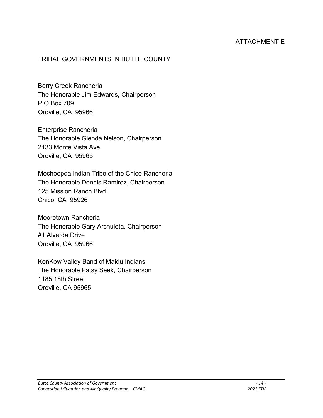### ATTACHMENT E

#### TRIBAL GOVERNMENTS IN BUTTE COUNTY

Berry Creek Rancheria The Honorable Jim Edwards, Chairperson P.O.Box 709 Oroville, CA 95966

Enterprise Rancheria The Honorable Glenda Nelson, Chairperson 2133 Monte Vista Ave. Oroville, CA 95965

Mechoopda Indian Tribe of the Chico Rancheria The Honorable Dennis Ramirez, Chairperson 125 Mission Ranch Blvd. Chico, CA 95926

Mooretown Rancheria The Honorable Gary Archuleta, Chairperson #1 Alverda Drive Oroville, CA 95966

KonKow Valley Band of Maidu Indians The Honorable Patsy Seek, Chairperson 1185 18th Street Oroville, CA 95965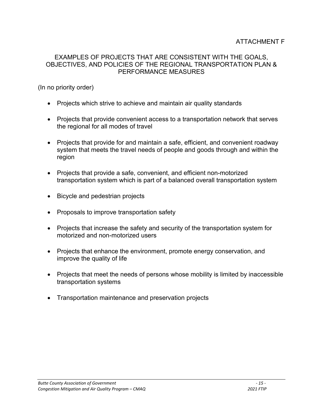#### EXAMPLES OF PROJECTS THAT ARE CONSISTENT WITH THE GOALS, OBJECTIVES, AND POLICIES OF THE REGIONAL TRANSPORTATION PLAN & PERFORMANCE MEASURES

(In no priority order)

- Projects which strive to achieve and maintain air quality standards
- Projects that provide convenient access to a transportation network that serves the regional for all modes of travel
- Projects that provide for and maintain a safe, efficient, and convenient roadway system that meets the travel needs of people and goods through and within the region
- Projects that provide a safe, convenient, and efficient non-motorized transportation system which is part of a balanced overall transportation system
- Bicycle and pedestrian projects
- Proposals to improve transportation safety
- Projects that increase the safety and security of the transportation system for motorized and non-motorized users
- Projects that enhance the environment, promote energy conservation, and improve the quality of life
- Projects that meet the needs of persons whose mobility is limited by inaccessible transportation systems
- Transportation maintenance and preservation projects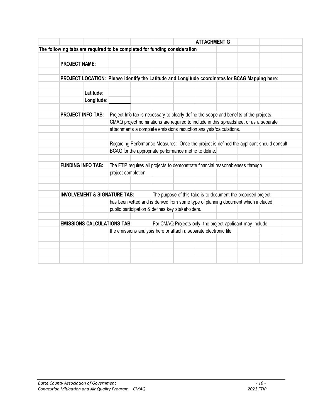|                                                                                                 |            |                    |                                                                                         | <b>ATTACHMENT G</b> |                                                              |                                                                                          |  |
|-------------------------------------------------------------------------------------------------|------------|--------------------|-----------------------------------------------------------------------------------------|---------------------|--------------------------------------------------------------|------------------------------------------------------------------------------------------|--|
| The following tabs are required to be completed for funding consideration                       |            |                    |                                                                                         |                     |                                                              |                                                                                          |  |
|                                                                                                 |            |                    |                                                                                         |                     |                                                              |                                                                                          |  |
| <b>PROJECT NAME:</b>                                                                            |            |                    |                                                                                         |                     |                                                              |                                                                                          |  |
| PROJECT LOCATION: Please identify the Latitude and Longitude coordinates for BCAG Mapping here: |            |                    |                                                                                         |                     |                                                              |                                                                                          |  |
|                                                                                                 | Latitude:  |                    |                                                                                         |                     |                                                              |                                                                                          |  |
|                                                                                                 | Longitude: |                    |                                                                                         |                     |                                                              |                                                                                          |  |
|                                                                                                 |            |                    |                                                                                         |                     |                                                              |                                                                                          |  |
| <b>PROJECT INFO TAB:</b>                                                                        |            |                    | Project Info tab is necessary to clearly define the scope and benefits of the projects. |                     |                                                              |                                                                                          |  |
|                                                                                                 |            |                    | CMAQ project nominations are required to include in this spreadsheet or as a separate   |                     |                                                              |                                                                                          |  |
|                                                                                                 |            |                    | attachments a complete emissions reduction analysis/calculations.                       |                     |                                                              |                                                                                          |  |
|                                                                                                 |            |                    |                                                                                         |                     |                                                              | Regarding Performance Measures: Once the project is defined the applicant should consult |  |
|                                                                                                 |            |                    | BCAG for the appropriate performance metric to define.                                  |                     |                                                              |                                                                                          |  |
|                                                                                                 |            |                    |                                                                                         |                     |                                                              |                                                                                          |  |
| <b>FUNDING INFO TAB:</b>                                                                        |            |                    | The FTIP requires all projects to demonstrate financial reasonableness through          |                     |                                                              |                                                                                          |  |
|                                                                                                 |            | project completion |                                                                                         |                     |                                                              |                                                                                          |  |
|                                                                                                 |            |                    |                                                                                         |                     |                                                              |                                                                                          |  |
|                                                                                                 |            |                    |                                                                                         |                     |                                                              |                                                                                          |  |
| <b>INVOLVEMENT &amp; SIGNATURE TAB:</b>                                                         |            |                    |                                                                                         |                     | The purpose of this tabe is to document the proposed project |                                                                                          |  |
|                                                                                                 |            |                    | has been vetted and is derived from some type of planning document which included       |                     |                                                              |                                                                                          |  |
|                                                                                                 |            |                    | public participation & defines key stakeholders.                                        |                     |                                                              |                                                                                          |  |
| <b>EMISSIONS CALCULATIONS TAB:</b>                                                              |            |                    |                                                                                         |                     | For CMAQ Projects only, the project applicant may include    |                                                                                          |  |
|                                                                                                 |            |                    | the emissions analysis here or attach a separate electronic file.                       |                     |                                                              |                                                                                          |  |
|                                                                                                 |            |                    |                                                                                         |                     |                                                              |                                                                                          |  |
|                                                                                                 |            |                    |                                                                                         |                     |                                                              |                                                                                          |  |
|                                                                                                 |            |                    |                                                                                         |                     |                                                              |                                                                                          |  |
|                                                                                                 |            |                    |                                                                                         |                     |                                                              |                                                                                          |  |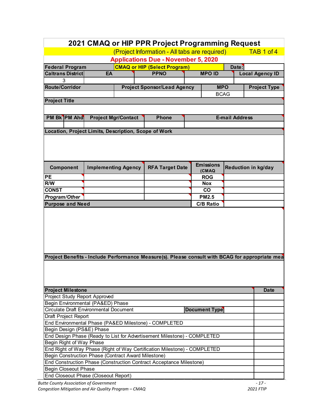| 2021 CMAQ or HIP PPR Project Programming Request            |                                                                          |                            |                                                                           |  |                      |                       |                                                                                                 |
|-------------------------------------------------------------|--------------------------------------------------------------------------|----------------------------|---------------------------------------------------------------------------|--|----------------------|-----------------------|-------------------------------------------------------------------------------------------------|
| (Project Information - All tabs are required)<br>TAB 1 of 4 |                                                                          |                            |                                                                           |  |                      |                       |                                                                                                 |
| <b>Applications Due - November 5, 2020</b>                  |                                                                          |                            |                                                                           |  |                      |                       |                                                                                                 |
| <b>Federal Program</b>                                      | <b>CMAQ or HIP (Select Program)</b><br>Date:                             |                            |                                                                           |  |                      |                       |                                                                                                 |
| <b>Caltrans District</b>                                    | <b>MPO ID</b><br><b>PPNO</b><br>EA                                       |                            |                                                                           |  |                      |                       | <b>Local Agency ID</b>                                                                          |
| 3                                                           |                                                                          |                            |                                                                           |  |                      |                       |                                                                                                 |
| <b>Route/Corridor</b>                                       |                                                                          |                            | <b>Project Sponsor/Lead Agency</b>                                        |  | <b>MPO</b>           |                       | <b>Project Type</b>                                                                             |
|                                                             |                                                                          |                            |                                                                           |  | <b>BCAG</b>          |                       |                                                                                                 |
| <b>Project Title</b>                                        |                                                                          |                            |                                                                           |  |                      |                       |                                                                                                 |
|                                                             |                                                                          |                            |                                                                           |  |                      |                       |                                                                                                 |
| PM Bk PM Ahd                                                |                                                                          | <b>Project Mgr/Contact</b> | <b>Phone</b>                                                              |  |                      | <b>E-mail Address</b> |                                                                                                 |
|                                                             |                                                                          |                            |                                                                           |  |                      |                       |                                                                                                 |
| Location, Project Limits, Description, Scope of Work        |                                                                          |                            |                                                                           |  |                      |                       |                                                                                                 |
|                                                             |                                                                          |                            |                                                                           |  |                      |                       |                                                                                                 |
|                                                             |                                                                          |                            |                                                                           |  |                      |                       |                                                                                                 |
|                                                             |                                                                          |                            |                                                                           |  |                      |                       |                                                                                                 |
|                                                             |                                                                          |                            |                                                                           |  |                      |                       |                                                                                                 |
|                                                             |                                                                          |                            |                                                                           |  | <b>Emissions</b>     |                       |                                                                                                 |
| Component                                                   |                                                                          | <b>Implementing Agency</b> | <b>RFA Target Date</b>                                                    |  | (CMAQ                |                       | Reduction in kg/day                                                                             |
| <b>PE</b>                                                   |                                                                          |                            |                                                                           |  | <b>ROG</b>           |                       |                                                                                                 |
| R/W                                                         |                                                                          |                            |                                                                           |  | <b>Nox</b>           |                       |                                                                                                 |
| <b>CONST</b>                                                |                                                                          |                            |                                                                           |  | co                   |                       |                                                                                                 |
| Program/Other                                               |                                                                          |                            |                                                                           |  | <b>PM2.5</b>         |                       |                                                                                                 |
| <b>Purpose and Need</b>                                     |                                                                          |                            |                                                                           |  | <b>C/B Ratio</b>     |                       |                                                                                                 |
|                                                             |                                                                          |                            |                                                                           |  |                      |                       |                                                                                                 |
|                                                             |                                                                          |                            |                                                                           |  |                      |                       |                                                                                                 |
|                                                             |                                                                          |                            |                                                                           |  |                      |                       |                                                                                                 |
|                                                             |                                                                          |                            |                                                                           |  |                      |                       |                                                                                                 |
|                                                             |                                                                          |                            |                                                                           |  |                      |                       |                                                                                                 |
|                                                             |                                                                          |                            |                                                                           |  |                      |                       |                                                                                                 |
|                                                             |                                                                          |                            |                                                                           |  |                      |                       |                                                                                                 |
|                                                             |                                                                          |                            |                                                                           |  |                      |                       | Project Benefits - Include Performance Measure(s). Please consult with BCAG for appropriate mea |
|                                                             |                                                                          |                            |                                                                           |  |                      |                       |                                                                                                 |
|                                                             |                                                                          |                            |                                                                           |  |                      |                       |                                                                                                 |
|                                                             |                                                                          |                            |                                                                           |  |                      |                       |                                                                                                 |
|                                                             |                                                                          |                            |                                                                           |  |                      |                       |                                                                                                 |
| <b>Project Milestone</b>                                    |                                                                          |                            |                                                                           |  |                      |                       | <b>Date</b>                                                                                     |
| <b>Project Study Report Approved</b>                        |                                                                          |                            |                                                                           |  |                      |                       |                                                                                                 |
| Begin Environmental (PA&ED) Phase                           |                                                                          |                            |                                                                           |  |                      |                       |                                                                                                 |
| Circulate Draft Environmental Document                      |                                                                          |                            |                                                                           |  | <b>Document Type</b> |                       |                                                                                                 |
| Draft Project Report                                        |                                                                          |                            |                                                                           |  |                      |                       |                                                                                                 |
| End Environmental Phase (PA&ED Milestone) - COMPLETED       |                                                                          |                            |                                                                           |  |                      |                       |                                                                                                 |
| Begin Design (PS&E) Phase                                   |                                                                          |                            |                                                                           |  |                      |                       |                                                                                                 |
|                                                             | End Design Phase (Ready to List for Advertisement Milestone) - COMPLETED |                            |                                                                           |  |                      |                       |                                                                                                 |
| Begin Right of Way Phase                                    |                                                                          |                            |                                                                           |  |                      |                       |                                                                                                 |
|                                                             |                                                                          |                            | End Right of Way Phase (Right of Way Certification Milestone) - COMPLETED |  |                      |                       |                                                                                                 |
|                                                             | Begin Construction Phase (Contract Award Milestone)                      |                            |                                                                           |  |                      |                       |                                                                                                 |
|                                                             |                                                                          |                            | End Construction Phase (Construction Contract Acceptance Milestone)       |  |                      |                       |                                                                                                 |
| <b>Begin Closeout Phase</b>                                 |                                                                          |                            |                                                                           |  |                      |                       |                                                                                                 |
| End Closeout Phase (Closeout Report)                        |                                                                          |                            |                                                                           |  |                      |                       |                                                                                                 |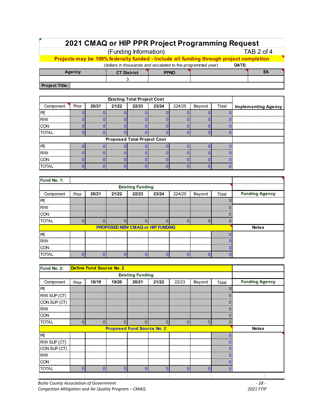# **2021 CMAQ or HIP PPR Project Programming Request**

(Funding Information) TAB 2 of 4

**Projects may be 100% federally funded - Include all funding through project completion**

| (dollars in thousands and escalated to the programmed year) | DATE:              |             |  |  |    |  |
|-------------------------------------------------------------|--------------------|-------------|--|--|----|--|
| Agency                                                      | <b>CT District</b> | <b>PPNO</b> |  |  | EΑ |  |
|                                                             |                    |             |  |  |    |  |
| <b>Project Title:</b>                                       |                    |             |  |  |    |  |

| Prior<br>20/21<br>21/22<br>Component |  |  |                                    | 22/23 | 23/24 | 224/25 | Beyond | Total | <b>Implementing Agency</b> |
|--------------------------------------|--|--|------------------------------------|-------|-------|--------|--------|-------|----------------------------|
| PE                                   |  |  |                                    |       |       |        |        |       |                            |
| <b>R/W</b>                           |  |  |                                    |       |       |        |        |       |                            |
| <b>CON</b>                           |  |  |                                    |       |       |        |        |       |                            |
| <b>TOTAL</b>                         |  |  |                                    |       |       |        |        |       |                            |
|                                      |  |  | <b>Proposed Total Project Cost</b> |       |       |        |        |       |                            |
| PE                                   |  |  |                                    |       |       |        |        |       |                            |
| <b>R/W</b>                           |  |  |                                    |       |       |        |        |       |                            |
| <b>CON</b>                           |  |  |                                    |       |       |        |        |       |                            |
| <b>TOTAL</b>                         |  |  |                                    |       |       |        |        |       |                            |

| Fund No. 1:  |                         |       |       |                                         |       |        |        |       |                       |  |
|--------------|-------------------------|-------|-------|-----------------------------------------|-------|--------|--------|-------|-----------------------|--|
|              | <b>Existing Funding</b> |       |       |                                         |       |        |        |       |                       |  |
| Component    | Prior                   | 20/21 | 21/22 | 22/23                                   | 23/24 | 224/25 | Beyond | Total | <b>Funding Agency</b> |  |
| <b>PE</b>    |                         |       |       |                                         |       |        |        |       |                       |  |
| <b>RW</b>    |                         |       |       |                                         |       |        |        |       |                       |  |
| <b>CON</b>   |                         |       |       |                                         |       |        |        |       |                       |  |
| <b>TOTAL</b> |                         |       |       |                                         |       |        |        |       |                       |  |
|              |                         |       |       | <b>PROPOSED NEW CMAQ or HIP FUNDING</b> |       |        |        |       | <b>Notes</b>          |  |
| <b>IPE</b>   |                         |       |       |                                         |       |        |        |       |                       |  |
| <b>R/W</b>   |                         |       |       |                                         |       |        |        |       |                       |  |
| <b>CON</b>   |                         |       |       |                                         |       |        |        |       |                       |  |
| <b>TOTAL</b> |                         |       |       |                                         |       |        |        |       |                       |  |

| Fund No. 2:  |       | <b>Define Fund Source No. 2</b> |       |                                   |       |       |        |                   |                       |
|--------------|-------|---------------------------------|-------|-----------------------------------|-------|-------|--------|-------------------|-----------------------|
|              |       |                                 |       |                                   |       |       |        |                   |                       |
| Component    | Prior | 18/19                           | 19/20 | 20/21                             | 21/22 | 22/23 | Beyond | Total             | <b>Funding Agency</b> |
| PE           |       |                                 |       |                                   |       |       |        | 0                 |                       |
| R/W SUP (CT) |       |                                 |       |                                   |       |       |        | <b>CONTRACTOR</b> |                       |
| CON SUP (CT) |       |                                 |       |                                   |       |       |        |                   |                       |
| <b>R/W</b>   |       |                                 |       |                                   |       |       |        |                   |                       |
| <b>CON</b>   |       |                                 |       |                                   |       |       |        |                   |                       |
| <b>TOTAL</b> | 0     |                                 |       |                                   | ŋ     | ი     | 0      |                   |                       |
|              |       |                                 |       | <b>Proposed Fund Source No. 2</b> |       |       |        |                   | <b>Notes</b>          |
| PE           |       |                                 |       |                                   |       |       |        |                   |                       |
| R/W SUP (CT) |       |                                 |       |                                   |       |       |        |                   |                       |
| CON SUP (CT) |       |                                 |       |                                   |       |       |        |                   |                       |
| <b>R/W</b>   |       |                                 |       |                                   |       |       |        |                   |                       |
| <b>CON</b>   |       |                                 |       |                                   |       |       |        |                   |                       |
| <b>TOTAL</b> |       |                                 |       | ſ                                 | ſ     |       | n      |                   |                       |
|              |       |                                 |       |                                   |       |       |        |                   |                       |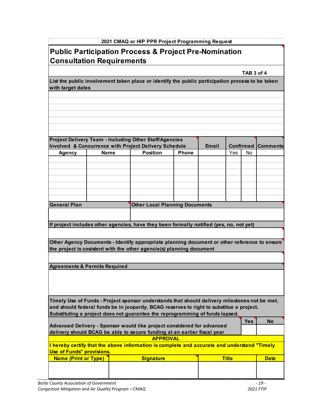# **Public Participation Process & Project Pre-Nomination Consultation Requirements**

**TAB 3 of 4**

**List the public involvement taken place or identify the public participation process to be taken with target dates** 

|                                          |             | <b>Project Delivery Team - Including Other Staff/Agencies</b>                                 |              |           |     |                 |           |
|------------------------------------------|-------------|-----------------------------------------------------------------------------------------------|--------------|-----------|-----|-----------------|-----------|
|                                          |             | Involved & Concurrence with Project Delivery Schedule                                         | <b>Email</b> | Confirmed |     | <b>Comments</b> |           |
| <b>Agency</b>                            | <b>Name</b> | <b>Position</b>                                                                               | <b>Phone</b> |           | Yes | <b>No</b>       |           |
|                                          |             |                                                                                               |              |           |     |                 |           |
|                                          |             |                                                                                               |              |           |     |                 |           |
|                                          |             |                                                                                               |              |           |     |                 |           |
|                                          |             |                                                                                               |              |           |     |                 |           |
|                                          |             |                                                                                               |              |           |     |                 |           |
|                                          |             |                                                                                               |              |           |     |                 |           |
|                                          |             |                                                                                               |              |           |     |                 |           |
| <b>General Plan</b>                      |             | <b>Other Local Planning Documents</b>                                                         |              |           |     |                 |           |
|                                          |             |                                                                                               |              |           |     |                 |           |
|                                          |             |                                                                                               |              |           |     |                 |           |
|                                          |             | If project includes other agencies, have they been formally notified (yes, no, not yet)       |              |           |     |                 |           |
|                                          |             |                                                                                               |              |           |     |                 |           |
|                                          |             | Other Agency Documents - Identify appropriate planning document or other reference to ensure  |              |           |     |                 |           |
|                                          |             | the project is cosistent with the other agencie(s) planning document                          |              |           |     |                 |           |
|                                          |             |                                                                                               |              |           |     |                 |           |
| <b>Agreements &amp; Permits Required</b> |             |                                                                                               |              |           |     |                 |           |
|                                          |             |                                                                                               |              |           |     |                 |           |
|                                          |             |                                                                                               |              |           |     |                 |           |
|                                          |             |                                                                                               |              |           |     |                 |           |
|                                          |             |                                                                                               |              |           |     |                 |           |
|                                          |             |                                                                                               |              |           |     |                 |           |
|                                          |             | Timely Use of Funds - Project sponsor understands that should delivery milestones not be met, |              |           |     |                 |           |
|                                          |             | and should federal funds be in jeopardy, BCAG reserves to right to substitue a project.       |              |           |     |                 |           |
|                                          |             | Substituting a project does not guarantee the reprogramming of funds lapsed.                  |              |           |     |                 |           |
|                                          |             |                                                                                               |              |           |     | <b>Yes</b>      | <b>No</b> |
|                                          |             | Advanced Delivery - Sponsor would like project considered for advanced                        |              |           |     |                 |           |
|                                          |             | delivery should BCAG be able to secure funding at an earlier fiscal year<br><b>APPROVAL</b>   |              |           |     |                 |           |
|                                          |             |                                                                                               |              |           |     |                 |           |
|                                          |             | I hereby certify that the above information is complete and accurate and understand "Timely   |              |           |     |                 |           |

| <u> Use_of Funds" provisions.</u> |                  |              |             |  |  |  |  |
|-----------------------------------|------------------|--------------|-------------|--|--|--|--|
| <b>Name (Print or Type)</b>       | <b>Signature</b> | <b>Title</b> | <b>Date</b> |  |  |  |  |
|                                   |                  |              |             |  |  |  |  |
|                                   |                  |              |             |  |  |  |  |
|                                   |                  |              |             |  |  |  |  |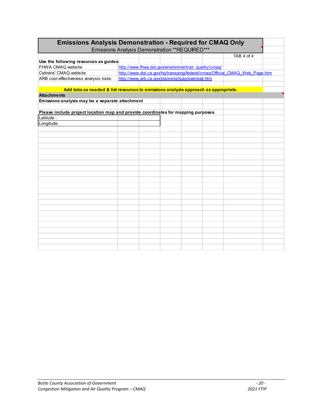| <b>Emissions Analysis Demonstration - Required for CMAQ Only</b><br>Emissions Analysis Demonstration ** REQUIRED*** |                                                                            |  |  |  |  |            |  |
|---------------------------------------------------------------------------------------------------------------------|----------------------------------------------------------------------------|--|--|--|--|------------|--|
|                                                                                                                     |                                                                            |  |  |  |  |            |  |
|                                                                                                                     |                                                                            |  |  |  |  | TAB 4 of 4 |  |
| Use the following resources as guides:                                                                              |                                                                            |  |  |  |  |            |  |
| FHWA CMAQ website:                                                                                                  | http://www.fhwa.dot.gov/environment/air_quality/cmag/                      |  |  |  |  |            |  |
| Caltrans' CMAQ website:                                                                                             | http://www.dot.ca.gov/hq/transprog/federal/cmaq/Official CMAQ Web Page.htm |  |  |  |  |            |  |
| ARB cost-effectiveness analysis tools:                                                                              | http://www.arb.ca.gov/planning/tsaq/eval/eval.htm                          |  |  |  |  |            |  |
|                                                                                                                     |                                                                            |  |  |  |  |            |  |
| Add tabs as needed & list resources to emissions analysis approach as appropriate.                                  |                                                                            |  |  |  |  |            |  |
| <b>Attachments</b>                                                                                                  |                                                                            |  |  |  |  |            |  |
| Emissions analysis may be a separate attachment                                                                     |                                                                            |  |  |  |  |            |  |
|                                                                                                                     |                                                                            |  |  |  |  |            |  |
| Please include project location map and provide coordinates for mapping purposes.                                   |                                                                            |  |  |  |  |            |  |
| Latitude:                                                                                                           |                                                                            |  |  |  |  |            |  |
| Longitude:                                                                                                          |                                                                            |  |  |  |  |            |  |
|                                                                                                                     |                                                                            |  |  |  |  |            |  |
|                                                                                                                     |                                                                            |  |  |  |  |            |  |
|                                                                                                                     |                                                                            |  |  |  |  |            |  |
|                                                                                                                     |                                                                            |  |  |  |  |            |  |
|                                                                                                                     |                                                                            |  |  |  |  |            |  |
|                                                                                                                     |                                                                            |  |  |  |  |            |  |
|                                                                                                                     |                                                                            |  |  |  |  |            |  |
|                                                                                                                     |                                                                            |  |  |  |  |            |  |
|                                                                                                                     |                                                                            |  |  |  |  |            |  |
|                                                                                                                     |                                                                            |  |  |  |  |            |  |
|                                                                                                                     |                                                                            |  |  |  |  |            |  |
|                                                                                                                     |                                                                            |  |  |  |  |            |  |
|                                                                                                                     |                                                                            |  |  |  |  |            |  |
|                                                                                                                     |                                                                            |  |  |  |  |            |  |
|                                                                                                                     |                                                                            |  |  |  |  |            |  |
|                                                                                                                     |                                                                            |  |  |  |  |            |  |
|                                                                                                                     |                                                                            |  |  |  |  |            |  |
|                                                                                                                     |                                                                            |  |  |  |  |            |  |
|                                                                                                                     |                                                                            |  |  |  |  |            |  |
|                                                                                                                     |                                                                            |  |  |  |  |            |  |
|                                                                                                                     |                                                                            |  |  |  |  |            |  |
|                                                                                                                     |                                                                            |  |  |  |  |            |  |
|                                                                                                                     |                                                                            |  |  |  |  |            |  |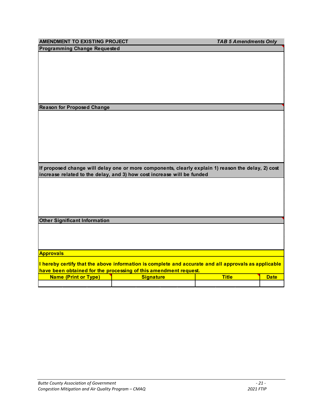|                                                                                                                                                                              |                                                                                                      | <b>TAB 5 Amendments Only</b> |             |  |  |  |  |
|------------------------------------------------------------------------------------------------------------------------------------------------------------------------------|------------------------------------------------------------------------------------------------------|------------------------------|-------------|--|--|--|--|
| AMENDMENT TO EXISTING PROJECT<br><b>Programming Change Requested</b>                                                                                                         |                                                                                                      |                              |             |  |  |  |  |
|                                                                                                                                                                              |                                                                                                      |                              |             |  |  |  |  |
|                                                                                                                                                                              |                                                                                                      |                              |             |  |  |  |  |
|                                                                                                                                                                              |                                                                                                      |                              |             |  |  |  |  |
|                                                                                                                                                                              |                                                                                                      |                              |             |  |  |  |  |
|                                                                                                                                                                              |                                                                                                      |                              |             |  |  |  |  |
|                                                                                                                                                                              |                                                                                                      |                              |             |  |  |  |  |
|                                                                                                                                                                              |                                                                                                      |                              |             |  |  |  |  |
|                                                                                                                                                                              |                                                                                                      |                              |             |  |  |  |  |
| <b>Reason for Proposed Change</b>                                                                                                                                            |                                                                                                      |                              |             |  |  |  |  |
|                                                                                                                                                                              |                                                                                                      |                              |             |  |  |  |  |
|                                                                                                                                                                              |                                                                                                      |                              |             |  |  |  |  |
|                                                                                                                                                                              |                                                                                                      |                              |             |  |  |  |  |
|                                                                                                                                                                              |                                                                                                      |                              |             |  |  |  |  |
|                                                                                                                                                                              |                                                                                                      |                              |             |  |  |  |  |
|                                                                                                                                                                              |                                                                                                      |                              |             |  |  |  |  |
|                                                                                                                                                                              |                                                                                                      |                              |             |  |  |  |  |
|                                                                                                                                                                              |                                                                                                      |                              |             |  |  |  |  |
| If proposed change will delay one or more components, clearly explain 1) reason the delay, 2) cost<br>increase related to the delay, and 3) how cost increase will be funded |                                                                                                      |                              |             |  |  |  |  |
|                                                                                                                                                                              |                                                                                                      |                              |             |  |  |  |  |
|                                                                                                                                                                              |                                                                                                      |                              |             |  |  |  |  |
|                                                                                                                                                                              |                                                                                                      |                              |             |  |  |  |  |
|                                                                                                                                                                              |                                                                                                      |                              |             |  |  |  |  |
|                                                                                                                                                                              |                                                                                                      |                              |             |  |  |  |  |
|                                                                                                                                                                              |                                                                                                      |                              |             |  |  |  |  |
|                                                                                                                                                                              |                                                                                                      |                              |             |  |  |  |  |
| <b>Other Significant Information</b>                                                                                                                                         |                                                                                                      |                              |             |  |  |  |  |
|                                                                                                                                                                              |                                                                                                      |                              |             |  |  |  |  |
|                                                                                                                                                                              |                                                                                                      |                              |             |  |  |  |  |
|                                                                                                                                                                              |                                                                                                      |                              |             |  |  |  |  |
|                                                                                                                                                                              |                                                                                                      |                              |             |  |  |  |  |
|                                                                                                                                                                              |                                                                                                      |                              |             |  |  |  |  |
| <b>Approvals</b>                                                                                                                                                             | I hereby certify that the above information is complete and accurate and all approvals as applicable |                              |             |  |  |  |  |
| <b>Name (Print or Type)</b>                                                                                                                                                  | have been obtained for the processing of this amendment request.<br><b>Signature</b>                 | <b>Title</b>                 | <b>Date</b> |  |  |  |  |